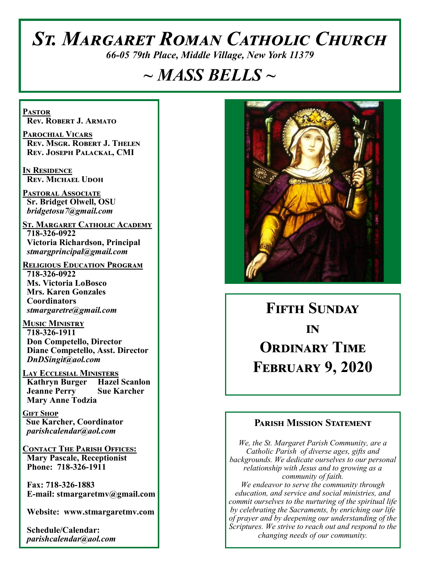# *St. Margaret Roman Catholic Church*

*66-05 79th Place, Middle Village, New York 11379*

# *~ MASS BELLS ~*

**Pastor Rev. Robert J. Armato**

**Parochial Vicars Rev. Msgr. Robert J. Thelen Rev. Joseph Palackal, CMI**

**In Residence Rev. Michael Udoh**

**Pastoral Associate Sr. Bridget Olwell, OSU**  *bridgetosu7@gmail.com*

**St. Margaret Catholic Academy 718-326-0922 Victoria Richardson, Principal**  *stmargprincipal@gmail.com*

**Religious Education Program 718-326-0922 Ms. Victoria LoBosco Mrs. Karen Gonzales Coordinators** *stmargaretre@gmail.com*

**Music Ministry 718-326-1911 Don Competello, Director Diane Competello, Asst. Director** *DnDSingit@aol.com*

**Lay Ecclesial Ministers Kathryn Burger Hazel Scanlon Jeanne Perry Sue Karcher Mary Anne Todzia**

**Gift Shop Sue Karcher, Coordinator** *parishcalendar@aol.com*

**Contact The Parish Offices: Mary Pascale, Receptionist Phone: 718-326-1911** 

 **Fax: 718-326-1883 E-mail: stmargaretmv@gmail.com**

 **Website: www.stmargaretmv.com**

 **Schedule/Calendar:** *parishcalendar@aol.com* 



# **Fifth Sunday in Ordinary Time February 9, 2020**

### **Parish Mission Statement**

*We, the St. Margaret Parish Community, are a Catholic Parish of diverse ages, gifts and backgrounds. We dedicate ourselves to our personal relationship with Jesus and to growing as a community of faith. We endeavor to serve the community through education, and service and social ministries, and commit ourselves to the nurturing of the spiritual life by celebrating the Sacraments, by enriching our life of prayer and by deepening our understanding of the Scriptures. We strive to reach out and respond to the changing needs of our community.*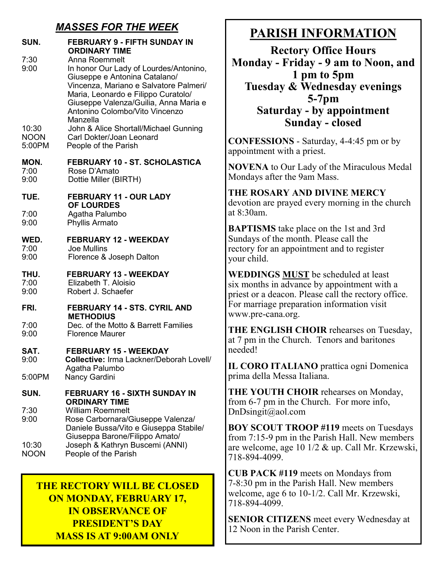## *MASSES FOR THE WEEK*

| SUN.                  | <b>FEBRUARY 9 - FIFTH SUNDAY IN</b><br><b>ORDINARY TIME</b>                                                                                                                                                                                                                                               |
|-----------------------|-----------------------------------------------------------------------------------------------------------------------------------------------------------------------------------------------------------------------------------------------------------------------------------------------------------|
| 7:30<br>9:00<br>10:30 | Anna Roemmelt<br>In honor Our Lady of Lourdes/Antonino,<br>Giuseppe e Antonina Catalano/<br>Vincenza, Mariano e Salvatore Palmeri/<br>Maria, Leonardo e Filippo Curatolo/<br>Giuseppe Valenza/Guilia, Anna Maria e<br>Antonino Colombo/Vito Vincenzo<br>Manzella<br>John & Alice Shortall/Michael Gunning |
| <b>NOON</b><br>5:00PM | Carl Dokter/Joan Leonard<br>People of the Parish                                                                                                                                                                                                                                                          |
| MON.<br>7:00<br>9:00  | FEBRUARY 10 - ST. SCHOLASTICA<br>Rose D'Amato<br>Dottie Miller (BIRTH)                                                                                                                                                                                                                                    |
| TUE.                  | FEBRUARY 11 - OUR LADY<br><b>OF LOURDES</b>                                                                                                                                                                                                                                                               |
| 7:00<br>9:00          | Agatha Palumbo<br>Phyllis Armato                                                                                                                                                                                                                                                                          |
| WED.<br>7:00<br>9:00  | <b>FEBRUARY 12 - WEEKDAY</b><br><b>Joe Mullins</b><br>Florence & Joseph Dalton                                                                                                                                                                                                                            |
| THU.<br>7:00<br>9:00  | <b>FEBRUARY 13 - WEEKDAY</b><br>Elizabeth T. Aloisio<br>Robert J. Schaefer                                                                                                                                                                                                                                |
| FRI.                  | FEBRUARY 14 - STS. CYRIL AND<br><b>METHODIUS</b>                                                                                                                                                                                                                                                          |
| 7:00<br>9:00          | Dec. of the Motto & Barrett Families<br><b>Florence Maurer</b>                                                                                                                                                                                                                                            |
| SAT.<br>9:00          | <b>FEBRUARY 15 - WEEKDAY</b><br><b>Collective: Irma Lackner/Deborah Lovell/</b><br>Agatha Palumbo                                                                                                                                                                                                         |
| 5:00PM                | <b>Nancy Gardini</b>                                                                                                                                                                                                                                                                                      |
| SUN.                  | <b>FEBRUARY 16 - SIXTH SUNDAY IN</b><br><b>ORDINARY TIME</b>                                                                                                                                                                                                                                              |
| 7:30<br>9:00          | <b>William Roemmelt</b><br>Rose Carbornara/Giuseppe Valenza/<br>Daniele Bussa/Vito e Giuseppa Stabile/<br>Giuseppa Barone/Filippo Amato/                                                                                                                                                                  |
| 10:30<br><b>NOON</b>  | Joseph & Kathryn Buscemi (ANNI)<br>People of the Parish                                                                                                                                                                                                                                                   |

## **THE RECTORY WILL BE CLOSED ON MONDAY, FEBRUARY 17, IN OBSERVANCE OF PRESIDENT'S DAY MASS IS AT 9:00AM ONLY**

# **PARISH INFORMATION**

**Rectory Office Hours Monday - Friday - 9 am to Noon, and 1 pm to 5pm Tuesday & Wednesday evenings 5-7pm Saturday - by appointment Sunday - closed**

**CONFESSIONS** - Saturday, 4-4:45 pm or by appointment with a priest.

**NOVENA** to Our Lady of the Miraculous Medal Mondays after the 9am Mass.

# **THE ROSARY AND DIVINE MERCY**

devotion are prayed every morning in the church at 8:30am.

**BAPTISMS** take place on the 1st and 3rd Sundays of the month. Please call the rectory for an appointment and to register your child.

**WEDDINGS MUST** be scheduled at least six months in advance by appointment with a priest or a deacon. Please call the rectory office. For marriage preparation information visit www.pre-cana.org.

**THE ENGLISH CHOIR** rehearses on Tuesday, at 7 pm in the Church. Tenors and baritones needed!

**IL CORO ITALIANO** prattica ogni Domenica prima della Messa Italiana.

**THE YOUTH CHOIR** rehearses on Monday, from 6-7 pm in the Church. For more info, DnDsingit@aol.com

**BOY SCOUT TROOP #119** meets on Tuesdays from 7:15-9 pm in the Parish Hall. New members are welcome, age 10 1/2 & up. Call Mr. Krzewski, 718-894-4099.

**CUB PACK #119** meets on Mondays from 7-8:30 pm in the Parish Hall. New members welcome, age 6 to 10-1/2. Call Mr. Krzewski, 718-894-4099.

**SENIOR CITIZENS** meet every Wednesday at 12 Noon in the Parish Center.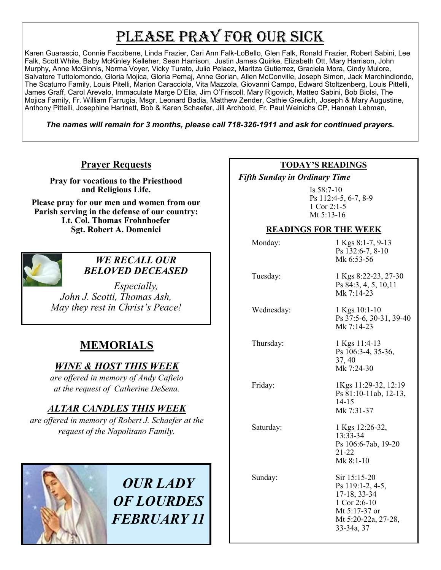# PLEASE PRAY FOR OUR SICK

Karen Guarascio, Connie Faccibene, Linda Frazier, Cari Ann Falk-LoBello, Glen Falk, Ronald Frazier, Robert Sabini, Lee Falk, Scott White, Baby McKinley Kelleher, Sean Harrison, Justin James Quirke, Elizabeth Ott, Mary Harrison, John Murphy, Anne McGinnis, Norma Voyer, Vicky Turato, Julio Pelaez, Maritza Gutierrez, Graciela Mora, Cindy Mulore, Salvatore Tuttolomondo, Gloria Mojica, Gloria Pemaj, Anne Gorian, Allen McConville, Joseph Simon, Jack Marchindiondo, The Scaturro Family, Louis Pitelli, Marion Caracciola, Vita Mazzola, Giovanni Campo, Edward Stoltzenberg, Louis Pittelli, James Graff, Carol Arevalo, Immaculate Marge D'Elia, Jim O'Friscoll, Mary Rigovich, Matteo Sabini, Bob Biolsi, The Mojica Family, Fr. William Farrugia, Msgr. Leonard Badia, Matthew Zender, Cathie Greulich, Joseph & Mary Augustine, Anthony Pittelli, Josephine Hartnett, Bob & Karen Schaefer, Jill Archbold, Fr. Paul Weinichs CP, Hannah Lehman,

*The names will remain for 3 months, please call 718-326-1911 and ask for continued prayers.*

### **Prayer Requests**

**Pray for vocations to the Priesthood and Religious Life.** 

**Please pray for our men and women from our Parish serving in the defense of our country: Lt. Col. Thomas Frohnhoefer Sgt. Robert A. Domenici** 



### *WE RECALL OUR BELOVED DECEASED*

*Especially, John J. Scotti, Thomas Ash, May they rest in Christ's Peace!*

# **MEMORIALS**

## *WINE & HOST THIS WEEK*

*are offered in memory of Andy Cafieio at the request of Catherine DeSena.* 

# *ALTAR CANDLES THIS WEEK*

*are offered in memory of Robert J. Schaefer at the request of the Napolitano Family.* 



*OUR LADY OF LOURDES FEBRUARY 11*

#### **TODAY'S READINGS**

 *Fifth Sunday in Ordinary Time* 

Is 58:7-10 Ps 112:4-5, 6-7, 8-9 1 Cor 2:1-5 Mt 5:13-16

#### **READINGS FOR THE WEEK**

Monday: 1 Kgs 8:1-7, 9-13 Ps 132:6-7, 8-10 Mk 6:53-56 Tuesday: 1 Kgs 8:22-23, 27-30 Ps 84:3, 4, 5, 10,11 Mk 7:14-23 Wednesday: 1 Kgs 10:1-10 Ps 37:5-6, 30-31, 39-40 Mk 7:14-23 Thursday: 1 Kgs 11:4-13 Ps 106:3-4, 35-36, 37, 40 Mk 7:24-30 Friday: 1Kgs 11:29-32, 12:19 Ps 81:10-11ab, 12-13, 14-15 Mk 7:31-37 Saturday: 1 Kgs 12:26-32, 13:33-34 Ps 106:6-7ab, 19-20 21-22 Mk 8:1-10 Sunday: Sir 15:15-20 Ps 119:1-2, 4-5, 17-18, 33-34 1 Cor 2:6-10 Mt 5:17-37 or Mt 5:20-22a, 27-28, 33-34a, 37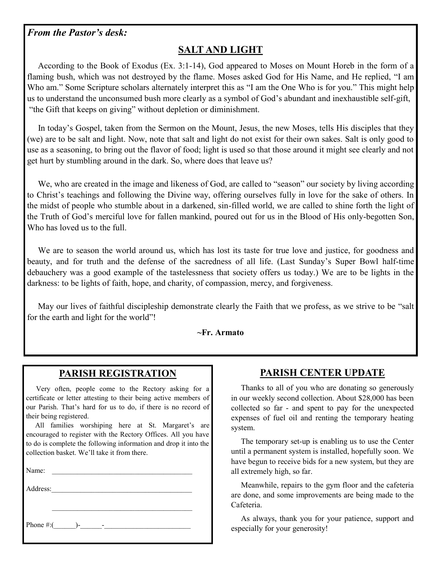### *From the Pastor's desk:*

# **SALT AND LIGHT**

 According to the Book of Exodus (Ex. 3:1-14), God appeared to Moses on Mount Horeb in the form of a flaming bush, which was not destroyed by the flame. Moses asked God for His Name, and He replied, "I am Who am." Some Scripture scholars alternately interpret this as "I am the One Who is for you." This might help us to understand the unconsumed bush more clearly as a symbol of God's abundant and inexhaustible self-gift, "the Gift that keeps on giving" without depletion or diminishment.

 In today's Gospel, taken from the Sermon on the Mount, Jesus, the new Moses, tells His disciples that they (we) are to be salt and light. Now, note that salt and light do not exist for their own sakes. Salt is only good to use as a seasoning, to bring out the flavor of food; light is used so that those around it might see clearly and not get hurt by stumbling around in the dark. So, where does that leave us?

We, who are created in the image and likeness of God, are called to "season" our society by living according to Christ's teachings and following the Divine way, offering ourselves fully in love for the sake of others. In the midst of people who stumble about in a darkened, sin-filled world, we are called to shine forth the light of the Truth of God's merciful love for fallen mankind, poured out for us in the Blood of His only-begotten Son, Who has loved us to the full.

We are to season the world around us, which has lost its taste for true love and justice, for goodness and beauty, and for truth and the defense of the sacredness of all life. (Last Sunday's Super Bowl half-time debauchery was a good example of the tastelessness that society offers us today.) We are to be lights in the darkness: to be lights of faith, hope, and charity, of compassion, mercy, and forgiveness.

 May our lives of faithful discipleship demonstrate clearly the Faith that we profess, as we strive to be "salt for the earth and light for the world"!

#### **~Fr. Armato**

### **PARISH REGISTRATION**

 Very often, people come to the Rectory asking for a certificate or letter attesting to their being active members of our Parish. That's hard for us to do, if there is no record of their being registered.

 All families worshiping here at St. Margaret's are encouraged to register with the Rectory Offices. All you have to do is complete the following information and drop it into the collection basket. We'll take it from there.

Name:  $\blacksquare$ 

Address:

Phone #:(\_\_\_\_\_\_)-\_\_\_\_\_\_-\_\_\_\_\_\_\_\_\_\_\_\_\_\_\_\_\_\_\_\_\_\_\_\_

## **PARISH CENTER UPDATE**

 Thanks to all of you who are donating so generously in our weekly second collection. About \$28,000 has been collected so far - and spent to pay for the unexpected expenses of fuel oil and renting the temporary heating system.

 The temporary set-up is enabling us to use the Center until a permanent system is installed, hopefully soon. We have begun to receive bids for a new system, but they are all extremely high, so far.

 Meanwhile, repairs to the gym floor and the cafeteria are done, and some improvements are being made to the Cafeteria.

 As always, thank you for your patience, support and especially for your generosity!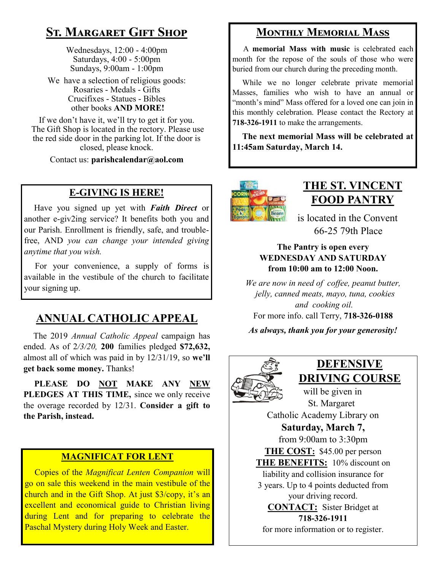# **St. Margaret Gift Shop**

Wednesdays, 12:00 - 4:00pm Saturdays, 4:00 - 5:00pm Sundays, 9:00am - 1:00pm

We have a selection of religious goods: Rosaries - Medals - Gifts Crucifixes - Statues - Bibles other books **AND MORE!**

If we don't have it, we'll try to get it for you. The Gift Shop is located in the rectory. Please use the red side door in the parking lot. If the door is closed, please knock.

Contact us: **parishcalendar@aol.com**

## **E-GIVING IS HERE!**

 Have you signed up yet with *Faith Direct* or another e-giv2ing service? It benefits both you and our Parish. Enrollment is friendly, safe, and troublefree, AND *you can change your intended giving anytime that you wish.*

 For your convenience, a supply of forms is available in the vestibule of the church to facilitate your signing up.

# **ANNUAL CATHOLIC APPEAL**

 The 2019 *Annual Catholic Appeal* campaign has ended. As of 2*/3/20,* **200** families pledged **\$72,632,**  almost all of which was paid in by 12/31/19, so **we'll get back some money.** Thanks!

 **PLEASE DO NOT MAKE ANY NEW PLEDGES AT THIS TIME,** since we only receive the overage recorded by 12/31. **Consider a gift to the Parish, instead.**

#### **MAGNIFICAT FOR LENT**

 Copies of the *Magnificat Lenten Companion* will go on sale this weekend in the main vestibule of the church and in the Gift Shop. At just \$3/copy, it's an excellent and economical guide to Christian living during Lent and for preparing to celebrate the Paschal Mystery during Holy Week and Easter.

## **Monthly Memorial Mass**

 A **memorial Mass with music** is celebrated each month for the repose of the souls of those who were buried from our church during the preceding month.

 While we no longer celebrate private memorial Masses, families who wish to have an annual or "month's mind" Mass offered for a loved one can join in this monthly celebration. Please contact the Rectory at **718-326-1911** to make the arrangements.

 **The next memorial Mass will be celebrated at 11:45am Saturday, March 14.** 



# **THE ST. VINCENT FOOD PANTRY**

 is located in the Convent 66-25 79th Place

#### **The Pantry is open every WEDNESDAY AND SATURDAY from 10:00 am to 12:00 Noon.**

*We are now in need of coffee, peanut butter, jelly, canned meats, mayo, tuna, cookies and cooking oil.*  For more info. call Terry, **718-326-0188**

*As always, thank you for your generosity!*



# **DEFENSIVE DRIVING COURSE**

 will be given in St. Margaret Catholic Academy Library on **Saturday, March 7,** from 9:00am to 3:30pm **THE COST:** \$45.00 per person **THE BENEFITS:** 10% discount on liability and collision insurance for 3 years. Up to 4 points deducted from your driving record. **CONTACT:** Sister Bridget at **718-326-1911** for more information or to register.